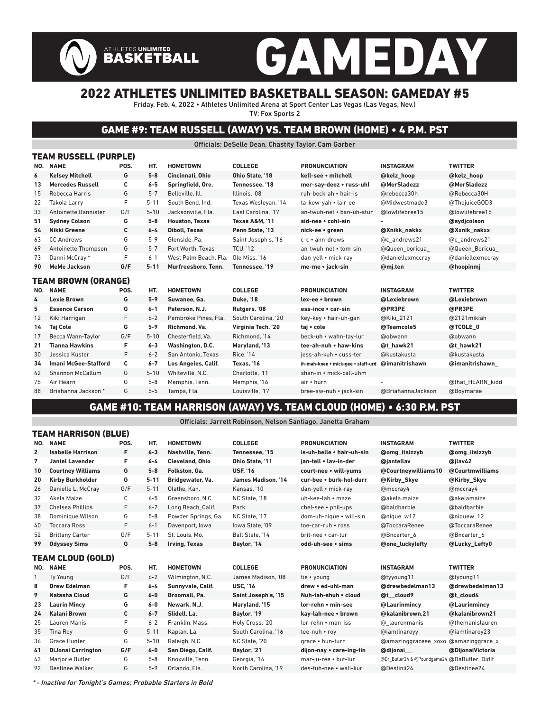# GAMEDAY ATHLETES UNLIMITED<br>BASKETBALL

## 2022 ATHLETES UNLIMITED BASKETBALL SEASON: GAMEDAY #5

Friday, Feb. 4, 2022 • Athletes Unlimited Arena at Sport Center Las Vegas (Las Vegas, Nev.) TV: Fox Sports 2

## GAME #9: TEAM RUSSELL (AWAY) VS. TEAM BROWN (HOME) • 4 P.M. PST

#### Officials: DeSelle Dean, Chastity Taylor, Cam Garber

|     | TEAM RUSSELL (PURPLE)       |      |          |                       |                           |                                    |                   |                  |  |  |  |  |
|-----|-----------------------------|------|----------|-----------------------|---------------------------|------------------------------------|-------------------|------------------|--|--|--|--|
| NO. | <b>NAME</b>                 | POS. | HT.      | <b>HOMETOWN</b>       | <b>COLLEGE</b>            | <b>PRONUNCIATION</b>               | <b>INSTAGRAM</b>  | <b>TWITTER</b>   |  |  |  |  |
| 6   | <b>Kelsey Mitchell</b>      | G    | $5-8$    | Cincinnati, Ohio      | Ohio State. '18           | kell-see • mitchell                | @kelz hoop        | @kelz hoop       |  |  |  |  |
| 13  | <b>Mercedes Russell</b>     | С    | $6 - 5$  | Springfield, Ore.     | Tennessee, '18            | mer-say-deez • russ-uhl            | @MerSladezz       | @MerSladezz      |  |  |  |  |
| 15  | Rebecca Harris              | G    | $5 - 7$  | Belleville, Ill.      | Illinois. '08             | ruh-beck-ah • hair-is              | @rebecca30h       | @Rebecca30H      |  |  |  |  |
| 22  | <b>Takoia Larry</b>         | F    | $5 - 11$ | South Bend. Ind.      | Texas Wesleyan, '14       | ta-kow-vah • lair-ee               | @Midwestmade3     | @ThejuiceGOD3    |  |  |  |  |
| 33  | Antoinette Bannister        | G/F  | $5 - 10$ | Jacksonville. Fla.    | East Carolina, '17        | an-twuh-net . ban-uh-stur          | @lowlifebree15    | @lowlifebree15   |  |  |  |  |
| 51  | <b>Sydney Colson</b>        | G    | $5-8$    | <b>Houston, Texas</b> | <b>Texas A&amp;M. '11</b> | sid-nee • cohl-sin                 |                   | @sydicolson      |  |  |  |  |
| 54  | Nikki Greene                | C    | $6 - 4$  | <b>Diboll, Texas</b>  | Penn State. '13           | nick-ee • green                    | @Xnikk nakkx      | @Xxnik nakxx     |  |  |  |  |
| 63  | <b>CC Andrews</b>           | G    | $5 - 9$  | Glenside, Pa.         | Saint Joseph's, '16       | $c-c \cdot$ ann-drews              | @c andrews21      | @c andrews21     |  |  |  |  |
| 69  | Antoinette Thompson         | G    | $5 - 7$  | Fort Worth, Texas     | <b>TCU. '12</b>           | an-twuh-net • tom-sin              | @Queen boricua    | @Queen Boricua   |  |  |  |  |
| 73  | Danni McCray*               | F    | $6 - 1$  | West Palm Beach, Fla. | Ole Miss. '16             | dan-yell • mick-ray                | @daniellexmccray  | @daniellexmccray |  |  |  |  |
| 90  | <b>MeMe Jackson</b>         | G/F  | $5 - 11$ | Murfreesboro. Tenn.   | Tennessee. '19            | me-me • jack-sin                   | @mj.ten           | @hoopinmj        |  |  |  |  |
|     | TEAM BROWN (ORANGE)         |      |          |                       |                           |                                    |                   |                  |  |  |  |  |
|     | NO. NAME                    | POS. | HT.      | <b>HOMETOWN</b>       | <b>COLLEGE</b>            | <b>PRONUNCIATION</b>               | <b>INSTAGRAM</b>  | <b>TWITTER</b>   |  |  |  |  |
| 4   | <b>Lexie Brown</b>          | G    | $5 - 9$  | Suwanee, Ga.          | <b>Duke. '18</b>          | lex-ee • brown                     | @Lexiebrown       | @Lexiebrown      |  |  |  |  |
| 5   | <b>Essence Carson</b>       | G    | $6 - 1$  | Paterson, N.J.        | Rutgers, '08              | ess-ince • car-sin                 | @PR3PE            | @PR3PE           |  |  |  |  |
| 12  | Kiki Harrigan               | F    | $6 - 2$  | Pembroke Pines, Fla.  | South Carolina. '20       | key-key • hair-uh-gan              | @Kiki 2121        | @2121 mikiah     |  |  |  |  |
| 14  | Taj Cole                    | G    | $5 - 9$  | Richmond, Va.         | Virginia Tech, '20        | taj • cole                         | @Teamcole5        | @TCOLE_0         |  |  |  |  |
| 17  | Becca Wann-Taylor           | G/F  | $5 - 10$ | Chesterfield. Va.     | Richmond. '14             | beck-uh • wahn-tay-lur             | @obwann           | @obwann          |  |  |  |  |
| 21  | <b>Tianna Hawkins</b>       | F    | $6 - 3$  | Washington, D.C.      | Maryland, '13             | tee-ah-nuh • haw-kins              | @t hawk21         | @t hawk21        |  |  |  |  |
| 30  | Jessica Kuster              | F    | $6 - 2$  | San Antonio. Texas    | <b>Rice, '14</b>          | iess-ah-kuh • cuss-ter             | @kustakusta       | @kustakusta      |  |  |  |  |
| 34  | <b>Imani McGee-Stafford</b> | C    | $6 - 7$  | Los Angeles, Calif.   | Texas. '16                | ih-mah-knee • mick-gee • staff-urd | @imanitrishawn    | @imanitrishawn   |  |  |  |  |
| 42  | <b>Shannon McCallum</b>     | G    | $5 - 10$ | Whiteville, N.C.      | Charlotte. '11            | shan-in • mick-call-uhm            |                   |                  |  |  |  |  |
| 75  | Air Hearn                   | G    | $5 - 8$  | Memphis, Tenn.        | Memphis, '16              | air • hurn                         |                   | @that HEARN kidd |  |  |  |  |
| 88  | Briahanna Jackson*          | G    | $5-5$    | Tampa, Fla.           | Louisville, '17           | bree-aw-nuh • jack-sin             | @BriahannaJackson | @Boymarae        |  |  |  |  |

### GAME #10: TEAM HARRISON (AWAY) VS. TEAM CLOUD (HOME) • 6:30 P.M. PST

Officials: Jarrett Robinson, Nelson Santiago, Janetta Graham

|                | TEAM HARRISON (BLUE)      |      |          |                        |                     |                           |                                             |                  |  |  |  |  |
|----------------|---------------------------|------|----------|------------------------|---------------------|---------------------------|---------------------------------------------|------------------|--|--|--|--|
| NO.            | <b>NAME</b>               | POS. | HT.      | <b>HOMETOWN</b>        | <b>COLLEGE</b>      | <b>PRONUNCIATION</b>      | <b>INSTAGRAM</b>                            | <b>TWITTER</b>   |  |  |  |  |
| $\overline{2}$ | <b>Isabelle Harrison</b>  | F.   | $6 - 3$  | Nashville, Tenn.       | Tennessee. '15      | is-uh-belle • hair-uh-sin | @omg_itsizzyb                               | @omg_itsizzyb    |  |  |  |  |
| 7              | <b>Jantel Lavender</b>    | F    | $6 - 4$  | <b>Cleveland, Ohio</b> | Ohio State. '11     | jan-tell . lav-in-der     | @jantellav                                  | @jlav42          |  |  |  |  |
| 10             | <b>Courtney Williams</b>  | G    | $5-8$    | Folkston, Ga.          | <b>USF. '16</b>     | court-nee • will-yums     | @Courtneywilliams10                         | @Courtmwilliams  |  |  |  |  |
| 20             | <b>Kirby Burkholder</b>   | G    | $5 - 11$ | Bridgewater, Va.       | James Madison. '14  | cur-bee . burk-hol-durr   | @Kirby Skye                                 | @Kirby Skye      |  |  |  |  |
| 26             | Danielle L. McCray        | G/F  | $5 - 11$ | Olathe, Kan.           | Kansas. '10         | dan-yell • mick-ray       | @mccray4                                    | @mccray4         |  |  |  |  |
| 32             | Akela Maize               | C    | $6 - 5$  | Greensboro, N.C.       | NC State. '18       | uh-kee-lah • maze         | @akela.maize                                | @akelamaize      |  |  |  |  |
| 37             | <b>Chelsea Phillips</b>   | F    | $6 - 2$  | Long Beach, Calif.     | Park                | chel-see • phil-ups       | @baldbarbie                                 | @baldbarbie      |  |  |  |  |
| 38             | Dominique Wilson          | G    | $5 - 8$  | Powder Springs, Ga.    | NC State, '17       | dom-uh-nique • will-sin   | @nique w12                                  | @niquew 12       |  |  |  |  |
| 40             | <b>Toccara Ross</b>       | F    | $6 - 1$  | Davenport, Iowa        | lowa State. '09     | toe-car-ruh • ross        | @ToccaraRenee                               | @ToccaraRenee    |  |  |  |  |
| 52             | <b>Brittany Carter</b>    | G/F  | $5 - 11$ | St. Louis. Mo.         | Ball State. '14     | brit-nee • car-tur        | @Bncarter 6                                 | @Bncarter 6      |  |  |  |  |
| 99             | <b>Odyssey Sims</b>       | G    | $5-8$    | <b>Irving, Texas</b>   | Baylor, '14         | odd-uh-see · sims         | <b>@one luckylefty</b>                      | @Lucky Lefty0    |  |  |  |  |
|                | TEAM CLOUD (GOLD)         |      |          |                        |                     |                           |                                             |                  |  |  |  |  |
|                |                           |      |          |                        |                     |                           |                                             |                  |  |  |  |  |
|                | NO. NAME                  | POS. | HT.      | <b>HOMETOWN</b>        | <b>COLLEGE</b>      | <b>PRONUNCIATION</b>      | <b>INSTAGRAM</b>                            | <b>TWITTER</b>   |  |  |  |  |
| $\mathbf{1}$   | Ty Young                  | G/F  | $6 - 2$  | Wilmington, N.C.       | James Madison. '08  | tie • young               | @tyyoung11                                  | @tyoung11        |  |  |  |  |
| 8              | <b>Drew Edelman</b>       | F    | $6 - 4$  | Sunnvvale, Calif.      | <b>USC, '16</b>     | drew . ed-uhl-man         | @drewbedelman13                             | @drewbedelman13  |  |  |  |  |
| 9              | <b>Natasha Cloud</b>      | G    | $6-0$    | Broomall, Pa.          | Saint Joseph's, '15 | Nuh-tah-shuh • cloud      | @t cloud9                                   | @t cloud4        |  |  |  |  |
| 23             | <b>Laurin Mincy</b>       | G    | $6-0$    | Newark, N.J.           | Maryland, '15       | lor-rehn • min-see        | @Laurinmincy                                | @Laurinmincy     |  |  |  |  |
| 24             | <b>Kalani Brown</b>       | С    | $6 - 7$  | Slidell, La.           | Baylor, '19         | kav-lah-nee • brown       | @kalanibrown.21                             | @kalanibrown21   |  |  |  |  |
| 25             | Lauren Manis              | F    | $6 - 2$  | Franklin, Mass.        | Holy Cross, '20     | lor-rehn • man-iss        | @ laurenmanis                               | @themanislauren  |  |  |  |  |
| 35             | <b>Tina Roy</b>           | G    | $5 - 11$ | Kaplan, La.            | South Carolina. '16 | tee-nuh • roy             | @iamtinaroyy                                | @iamtinaroy23    |  |  |  |  |
| 36             | Grace Hunter              | G    | $5 - 10$ | Raleigh, N.C.          | NC State, '20       | grace . hun-turr          | @amazinggraceee xoxo                        | @amazinggrace x  |  |  |  |  |
| 41             | <b>DiJonai Carrington</b> | G/F  | $6-0$    | San Diego, Calif.      | Baylor, '21         | dijon-nay • care-ing-tin  | @dijonai                                    | @DijonaiVictoria |  |  |  |  |
| 43             | <b>Mariorie Butler</b>    | G    | $5 - 8$  | Knoxville, Tenn.       | Georgia, '16        | mar-iu-ree • but-lur      | @Dr_Butler24 & @Poundgame24 @DaButler Didlt |                  |  |  |  |  |
| 92             | Destinee Walker           | G    | $5 - 9$  | Orlando, Fla.          | North Carolina. '19 | des-tuh-nee • wall-kur    | @Destinii24                                 | @Destinee24      |  |  |  |  |

\* - Inactive for Tonight's Games; Probable Starters in Bold